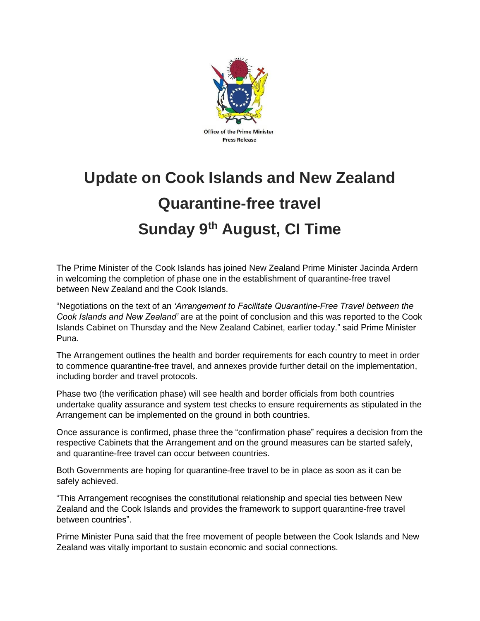

## **Update on Cook Islands and New Zealand Quarantine-free travel Sunday 9th August, CI Time**

The Prime Minister of the Cook Islands has joined New Zealand Prime Minister Jacinda Ardern in welcoming the completion of phase one in the establishment of quarantine-free travel between New Zealand and the Cook Islands.

"Negotiations on the text of an *'Arrangement to Facilitate Quarantine-Free Travel between the Cook Islands and New Zealand'* are at the point of conclusion and this was reported to the Cook Islands Cabinet on Thursday and the New Zealand Cabinet, earlier today." said Prime Minister Puna.

The Arrangement outlines the health and border requirements for each country to meet in order to commence quarantine-free travel, and annexes provide further detail on the implementation, including border and travel protocols.

Phase two (the verification phase) will see health and border officials from both countries undertake quality assurance and system test checks to ensure requirements as stipulated in the Arrangement can be implemented on the ground in both countries.

Once assurance is confirmed, phase three the "confirmation phase" requires a decision from the respective Cabinets that the Arrangement and on the ground measures can be started safely, and quarantine-free travel can occur between countries.

Both Governments are hoping for quarantine-free travel to be in place as soon as it can be safely achieved.

"This Arrangement recognises the constitutional relationship and special ties between New Zealand and the Cook Islands and provides the framework to support quarantine-free travel between countries".

Prime Minister Puna said that the free movement of people between the Cook Islands and New Zealand was vitally important to sustain economic and social connections.